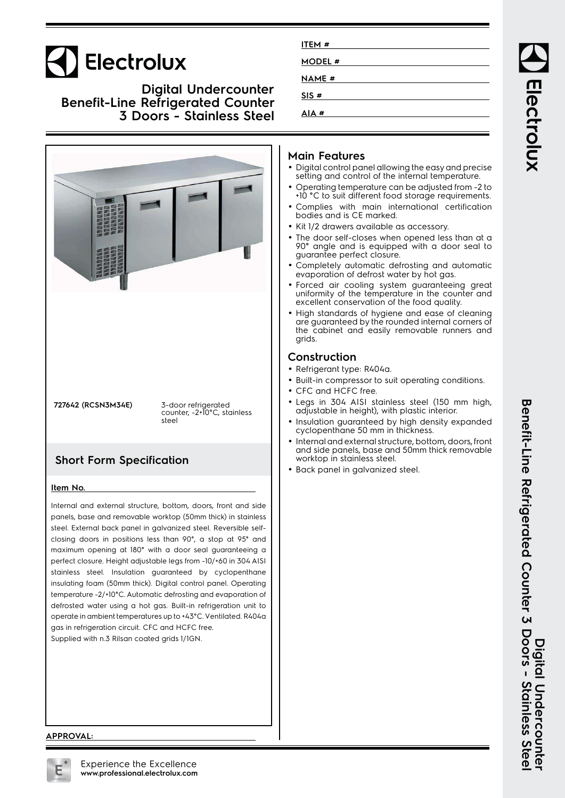# Electrolux

### **Digital Undercounter Benefit-Line Refrigerated Counter 3 Doors - Stainless Steel**



| ITEM #        |  |  |
|---------------|--|--|
| <b>MODEL#</b> |  |  |
| <b>NAME</b> # |  |  |
|               |  |  |
| SIS#          |  |  |
| # AIA         |  |  |

### **Main Features**

- Digital control panel allowing the easy and precise setting and control of the internal temperature.
- • Operating temperature can be adjusted from -2 to +10 °C to suit different food storage requirements.
- • Complies with main international certification bodies and is CE marked.
- Kit 1/2 drawers available as accessory.
- • The door self-closes when opened less than at a 90° angle and is equipped with a door seal to guarantee perfect closure.
- • Completely automatic defrosting and automatic evaporation of defrost water by hot gas.
- Forced air cooling system guaranteeing great uniformity of the temperature in the counter and excellent conservation of the food quality.
- • High standards of hygiene and ease of cleaning are guaranteed by the rounded internal corners of the cabinet and easily removable runners and grids.

## **Construction**

- Refrigerant type: R404a.
- Built-in compressor to suit operating conditions.
- CFC and HCFC free.
- Legs in 304 AISI stainless steel (150 mm high, adjustable in height), with plastic interior.
- Insulation guaranteed by high density expanded cyclopenthane 50 mm in thickness.
- • Internal and external structure, bottom, doors, front and side panels, base and 50mm thick removable worktop in stainless steel.
- Back panel in galvanized steel.

#### **APPROVAL:**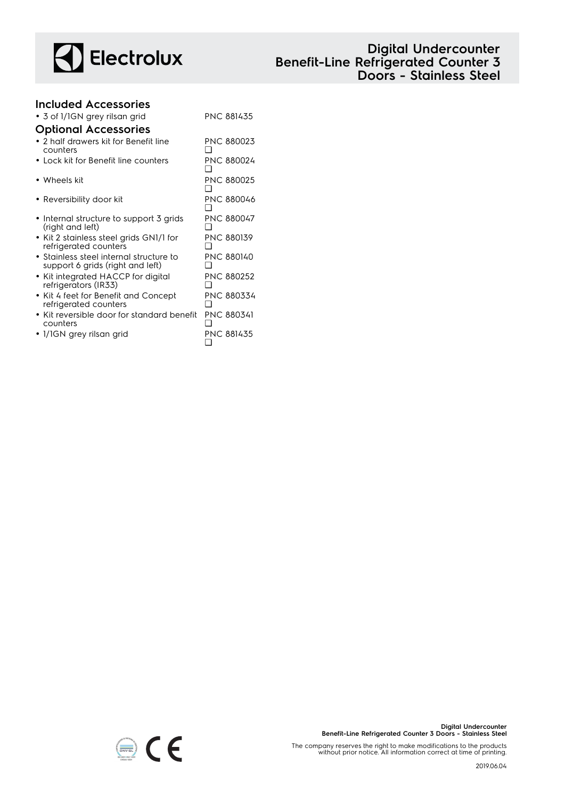

# **Digital Undercounter Benefit-Line Refrigerated Counter 3 Doors - Stainless Steel**

#### **Included Accessories** • 3 of 1/1GN grey rilsan grid PNC 881435 **Optional Accessories** • 2 half drawers kit for Benefit line counters PNC 880023  $\Box$ • Lock kit for Benefit line counters PNC 880024  $\Box$ • Wheels kit PNC 880025 ❑ • Reversibility door kit PNC 880046 ❑ • Internal structure to support 3 grids (right and left) PNC 880047  $\Box$ • Kit 2 stainless steel grids GN1/1 for refrigerated counters PNC 880139  $\Box$ • Stainless steel internal structure to support 6 grids (right and left) PNC 880140 ❑ • Kit integrated HACCP for digital refrigerators (IR33) PNC 880252 ❑ • Kit 4 feet for Benefit and Concept PNC 880334

refrigerated counters ❑ • Kit reversible door for standard benefit counters PNC 880341  $\Box$ 

 $\epsilon$ 

❑

• 1/1GN grey rilsan grid PNC 881435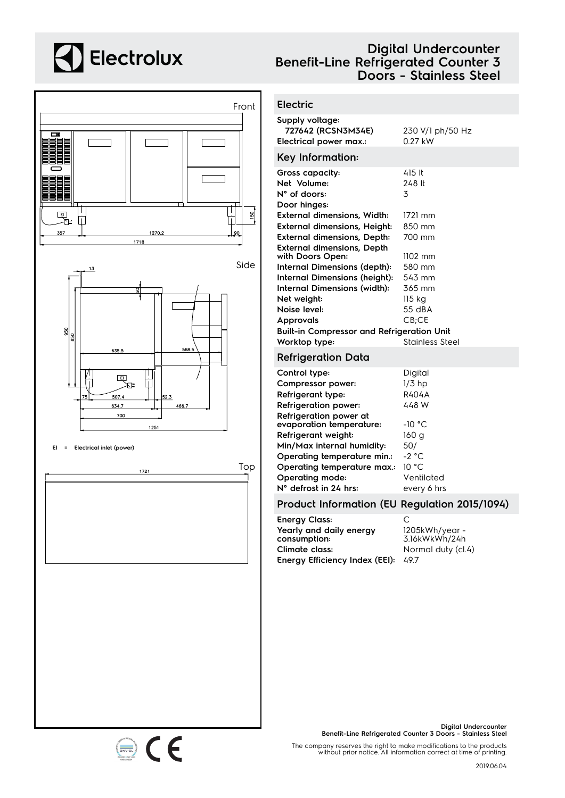# **A** Electrolux



# **Digital Undercounter Benefit-Line Refrigerated Counter 3 Doors - Stainless Steel**

### **Electric**

| Supply voltage:<br>727642 (RCSN3M34E)<br>Electrical power max.:         | 230 V/1 ph/50 Hz<br>$0.27$ kW |
|-------------------------------------------------------------------------|-------------------------------|
| Key Information:                                                        |                               |
| Gross capacity:<br>Net Volume:<br>$N^{\circ}$ of doors:<br>Door hinges: | 415 It<br>248 lt<br>3         |
| <b>External dimensions, Width:</b>                                      | 1721 mm                       |
| <b>External dimensions, Height:</b>                                     | 850 mm                        |
| <b>External dimensions, Depth:</b>                                      | 700 mm                        |
| <b>External dimensions, Depth</b><br>with Doors Open:                   | $1102$ mm                     |
| Internal Dimensions (depth):                                            | 580 mm                        |
| Internal Dimensions (height):                                           | 543 mm                        |
| <b>Internal Dimensions (width):</b>                                     | 365 mm                        |
| Net weight:                                                             | 115 kg                        |
| Noise level:                                                            | 55 dBA                        |
| <b>Approvals</b>                                                        | $CB$ ; $CE$                   |
| <b>Built-in Compressor and Refrigeration Unit</b>                       |                               |
| Worktop type:                                                           | Stainless Steel               |
| <b>Refrigeration Data</b>                                               |                               |
| Control type:                                                           | Digital                       |
| Compressor power:                                                       | $1/3$ hp                      |
| Refrigerant type:                                                       | <b>R404A</b>                  |
| <b>Refrigeration power:</b>                                             | 448 W                         |
| Refrigeration power at                                                  |                               |
| evaporation temperature:                                                | $-10 °C$                      |
| Refrigerant weight:                                                     | 160 a                         |
| Min/Max internal humidity:                                              | 50/                           |

### **Operating temperature min.:** -2 °C **Operating temperature max.:** 10 °C **Operating mode:** Ventilated **N° defrost in 24 hrs:** every 6 hrs

### **Product Information (EU Regulation 2015/1094)**

**Energy Class:** C **Yearly and daily energy consumption: Climate class:** Normal duty (cl.4) **Energy Efficiency Index (EEI):** 49.7

1205kWh/year - 3.16kWkWh/24h

**Digital Undercounter Benefit-Line Refrigerated Counter 3 Doors - Stainless Steel**

The company reserves the right to make modifications to the products without prior notice. All information correct at time of printing.